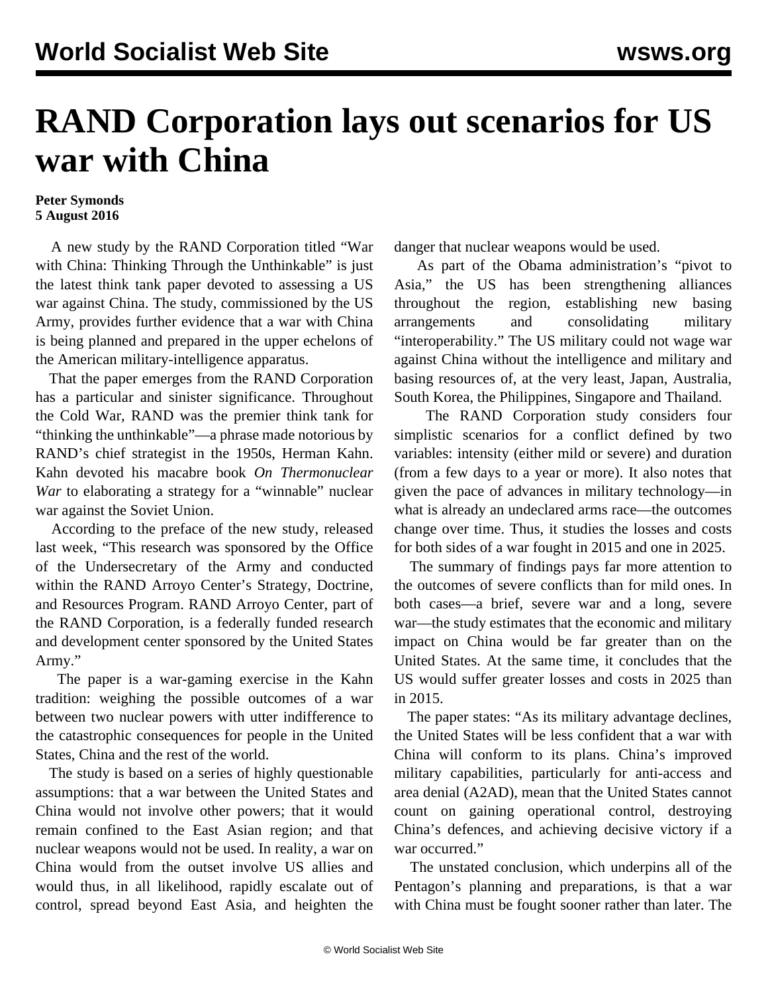## **RAND Corporation lays out scenarios for US war with China**

## **Peter Symonds 5 August 2016**

 A new study by the RAND Corporation titled "War with China: Thinking Through the Unthinkable" is just the latest think tank paper devoted to assessing a US war against China. The study, commissioned by the US Army, provides further evidence that a war with China is being planned and prepared in the upper echelons of the American military-intelligence apparatus.

 That the paper emerges from the RAND Corporation has a particular and sinister significance. Throughout the Cold War, RAND was the premier think tank for "thinking the unthinkable"—a phrase made notorious by RAND's chief strategist in the 1950s, Herman Kahn. Kahn devoted his macabre book *On Thermonuclear War* to elaborating a strategy for a "winnable" nuclear war against the Soviet Union.

 According to the preface of the new study, released last week, "This research was sponsored by the Office of the Undersecretary of the Army and conducted within the RAND Arroyo Center's Strategy, Doctrine, and Resources Program. RAND Arroyo Center, part of the RAND Corporation, is a federally funded research and development center sponsored by the United States Army."

 The paper is a war-gaming exercise in the Kahn tradition: weighing the possible outcomes of a war between two nuclear powers with utter indifference to the catastrophic consequences for people in the United States, China and the rest of the world.

 The study is based on a series of highly questionable assumptions: that a war between the United States and China would not involve other powers; that it would remain confined to the East Asian region; and that nuclear weapons would not be used. In reality, a war on China would from the outset involve US allies and would thus, in all likelihood, rapidly escalate out of control, spread beyond East Asia, and heighten the

danger that nuclear weapons would be used.

 As part of the Obama administration's "pivot to Asia," the US has been strengthening alliances throughout the region, establishing new basing arrangements and consolidating military "interoperability." The US military could not wage war against China without the intelligence and military and basing resources of, at the very least, Japan, Australia, South Korea, the Philippines, Singapore and Thailand.

 The RAND Corporation study considers four simplistic scenarios for a conflict defined by two variables: intensity (either mild or severe) and duration (from a few days to a year or more). It also notes that given the pace of advances in military technology—in what is already an undeclared arms race—the outcomes change over time. Thus, it studies the losses and costs for both sides of a war fought in 2015 and one in 2025.

 The summary of findings pays far more attention to the outcomes of severe conflicts than for mild ones. In both cases—a brief, severe war and a long, severe war—the study estimates that the economic and military impact on China would be far greater than on the United States. At the same time, it concludes that the US would suffer greater losses and costs in 2025 than in 2015.

 The paper states: "As its military advantage declines, the United States will be less confident that a war with China will conform to its plans. China's improved military capabilities, particularly for anti-access and area denial (A2AD), mean that the United States cannot count on gaining operational control, destroying China's defences, and achieving decisive victory if a war occurred."

 The unstated conclusion, which underpins all of the Pentagon's planning and preparations, is that a war with China must be fought sooner rather than later. The